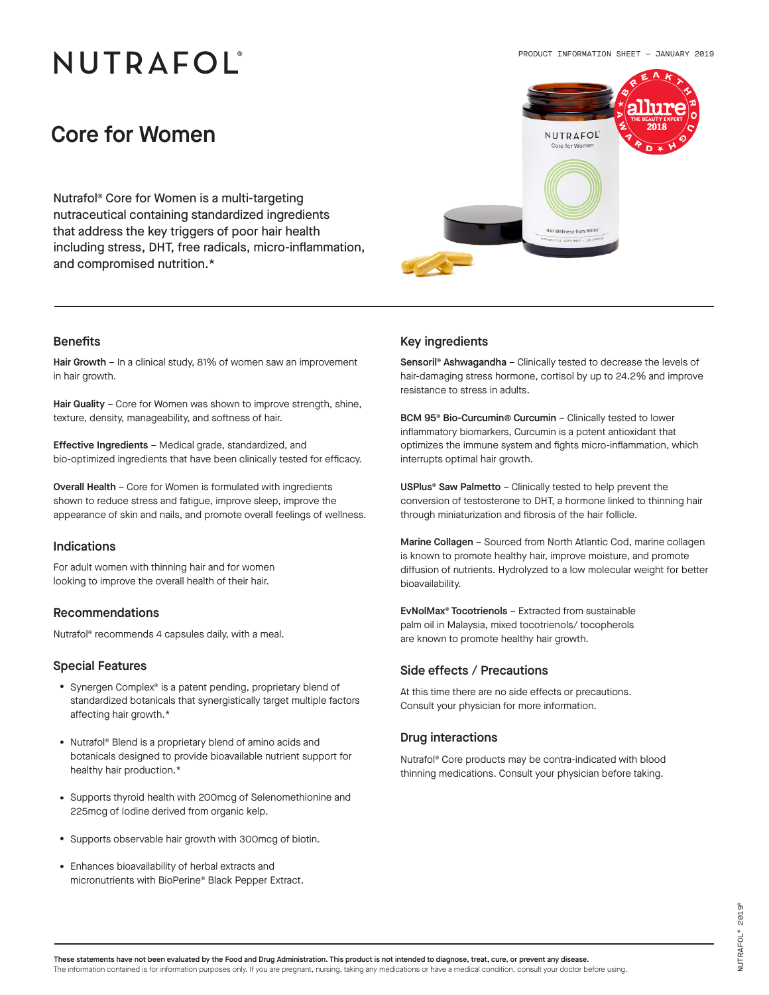# NUTRAFOL®



## Core for Women

Nutrafol® Core for Women is a multi-targeting nutraceutical containing standardized ingredients that address the key triggers of poor hair health including stress, DHT, free radicals, micro-inflammation, and compromised nutrition.\*

Hair Growth - In a clinical study, 81% of women saw an improvement in hair growth.

Hair Quality - Core for Women was shown to improve strength, shine, texture, density, manageability, and softness of hair.

Effective Ingredients – Medical grade, standardized, and bio-optimized ingredients that have been clinically tested for efficacy.

Overall Health – Core for Women is formulated with ingredients shown to reduce stress and fatigue, improve sleep, improve the appearance of skin and nails, and promote overall feelings of wellness.

### Indications

For adult women with thinning hair and for women looking to improve the overall health of their hair.

#### Recommendations

#### Special Features

- Synergen Complex® is a patent pending, proprietary blend of standardized botanicals that synergistically target multiple factors affecting hair growth.\*
- Nutrafol® Blend is a proprietary blend of amino acids and botanicals designed to provide bioavailable nutrient support for healthy hair production.\*
- Supports thyroid health with 200mcg of Selenomethionine and 225mcg of Iodine derived from organic kelp.
- Supports observable hair growth with 300mcg of biotin.
- Enhances bioavailability of herbal extracts and micronutrients with BioPerine® Black Pepper Extract.

### Benefits **Benefits Benefits Key ingredients**

Sensoril® Ashwagandha – Clinically tested to decrease the levels of hair-damaging stress hormone, cortisol by up to 24.2% and improve resistance to stress in adults.

BCM 95® Bio-Curcumin® Curcumin – Clinically tested to lower inflammatory biomarkers, Curcumin is a potent antioxidant that optimizes the immune system and fights micro-inflammation, which interrupts optimal hair growth.

USPlus® Saw Palmetto – Clinically tested to help prevent the conversion of testosterone to DHT, a hormone linked to thinning hair through miniaturization and fibrosis of the hair follicle.

Marine Collagen – Sourced from North Atlantic Cod, marine collagen is known to promote healthy hair, improve moisture, and promote diffusion of nutrients. Hydrolyzed to a low molecular weight for better bioavailability.

EvNolMax® Tocotrienols – Extracted from sustainable palm oil in Malaysia, mixed tocotrienols/ tocopherols Nutrafol® recommends 4 capsules daily, with a meal.<br>are known to promote healthy hair growth.

#### Side effects / Precautions

At this time there are no side effects or precautions. Consult your physician for more information.

#### Drug interactions

Nutrafol® Core products may be contra-indicated with blood thinning medications. Consult your physician before taking.